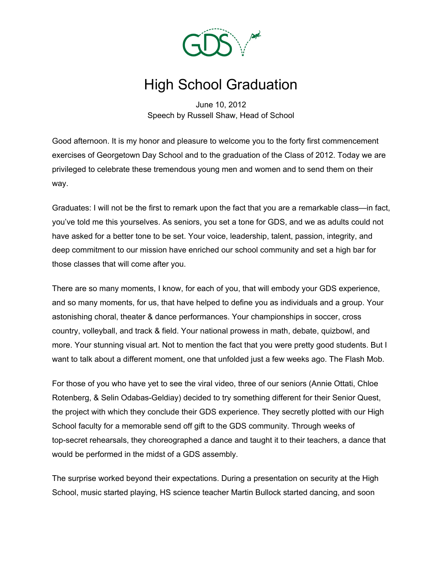

## High School Graduation

June 10, 2012 Speech by Russell Shaw, Head of School

Good afternoon. It is my honor and pleasure to welcome you to the forty first commencement exercises of Georgetown Day School and to the graduation of the Class of 2012. Today we are privileged to celebrate these tremendous young men and women and to send them on their way.

Graduates: I will not be the first to remark upon the fact that you are a remarkable class—in fact, you've told me this yourselves. As seniors, you set a tone for GDS, and we as adults could not have asked for a better tone to be set. Your voice, leadership, talent, passion, integrity, and deep commitment to our mission have enriched our school community and set a high bar for those classes that will come after you.

There are so many moments, I know, for each of you, that will embody your GDS experience, and so many moments, for us, that have helped to define you as individuals and a group. Your astonishing choral, theater & dance performances. Your championships in soccer, cross country, volleyball, and track & field. Your national prowess in math, debate, quizbowl, and more. Your stunning visual art. Not to mention the fact that you were pretty good students. But I want to talk about a different moment, one that unfolded just a few weeks ago. The Flash Mob.

For those of you who have yet to see the viral video, three of our seniors (Annie Ottati, Chloe Rotenberg, & Selin Odabas-Geldiay) decided to try something different for their Senior Quest, the project with which they conclude their GDS experience. They secretly plotted with our High School faculty for a memorable send off gift to the GDS community. Through weeks of top-secret rehearsals, they choreographed a dance and taught it to their teachers, a dance that would be performed in the midst of a GDS assembly.

The surprise worked beyond their expectations. During a presentation on security at the High School, music started playing, HS science teacher Martin Bullock started dancing, and soon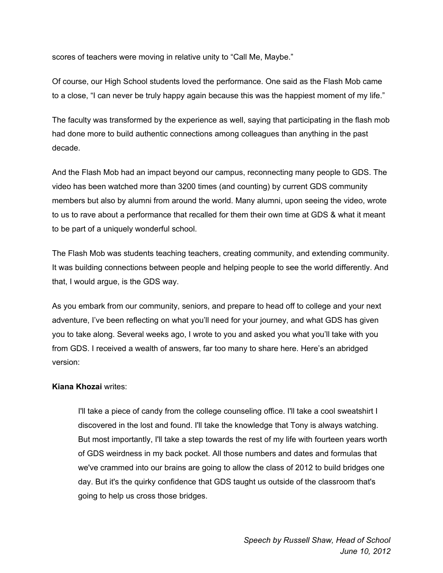scores of teachers were moving in relative unity to "Call Me, Maybe."

Of course, our High School students loved the performance. One said as the Flash Mob came to a close, "I can never be truly happy again because this was the happiest moment of my life."

The faculty was transformed by the experience as well, saying that participating in the flash mob had done more to build authentic connections among colleagues than anything in the past decade.

And the Flash Mob had an impact beyond our campus, reconnecting many people to GDS. The video has been watched more than 3200 times (and counting) by current GDS community members but also by alumni from around the world. Many alumni, upon seeing the video, wrote to us to rave about a performance that recalled for them their own time at GDS & what it meant to be part of a uniquely wonderful school.

The Flash Mob was students teaching teachers, creating community, and extending community. It was building connections between people and helping people to see the world differently. And that, I would argue, is the GDS way.

As you embark from our community, seniors, and prepare to head off to college and your next adventure, I've been reflecting on what you'll need for your journey, and what GDS has given you to take along. Several weeks ago, I wrote to you and asked you what you'll take with you from GDS. I received a wealth of answers, far too many to share here. Here's an abridged version:

## **Kiana Khozai** writes:

I'll take a piece of candy from the college counseling office. I'll take a cool sweatshirt I discovered in the lost and found. I'll take the knowledge that Tony is always watching. But most importantly, I'll take a step towards the rest of my life with fourteen years worth of GDS weirdness in my back pocket. All those numbers and dates and formulas that we've crammed into our brains are going to allow the class of 2012 to build bridges one day. But it's the quirky confidence that GDS taught us outside of the classroom that's going to help us cross those bridges.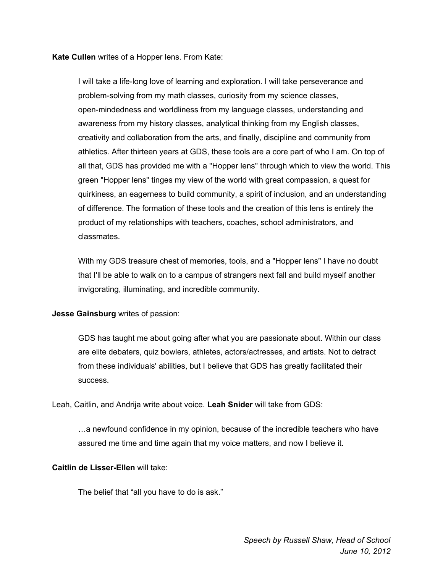**Kate Cullen** writes of a Hopper lens. From Kate:

I will take a life-long love of learning and exploration. I will take perseverance and problem-solving from my math classes, curiosity from my science classes, open-mindedness and worldliness from my language classes, understanding and awareness from my history classes, analytical thinking from my English classes, creativity and collaboration from the arts, and finally, discipline and community from athletics. After thirteen years at GDS, these tools are a core part of who I am. On top of all that, GDS has provided me with a "Hopper lens" through which to view the world. This green "Hopper lens" tinges my view of the world with great compassion, a quest for quirkiness, an eagerness to build community, a spirit of inclusion, and an understanding of difference. The formation of these tools and the creation of this lens is entirely the product of my relationships with teachers, coaches, school administrators, and classmates.

With my GDS treasure chest of memories, tools, and a "Hopper lens" I have no doubt that I'll be able to walk on to a campus of strangers next fall and build myself another invigorating, illuminating, and incredible community.

**Jesse Gainsburg** writes of passion:

GDS has taught me about going after what you are passionate about. Within our class are elite debaters, quiz bowlers, athletes, actors/actresses, and artists. Not to detract from these individuals' abilities, but I believe that GDS has greatly facilitated their success.

Leah, Caitlin, and Andrija write about voice. **Leah Snider** will take from GDS:

…a newfound confidence in my opinion, because of the incredible teachers who have assured me time and time again that my voice matters, and now I believe it.

## **Caitlin de Lisser-Ellen** will take:

The belief that "all you have to do is ask."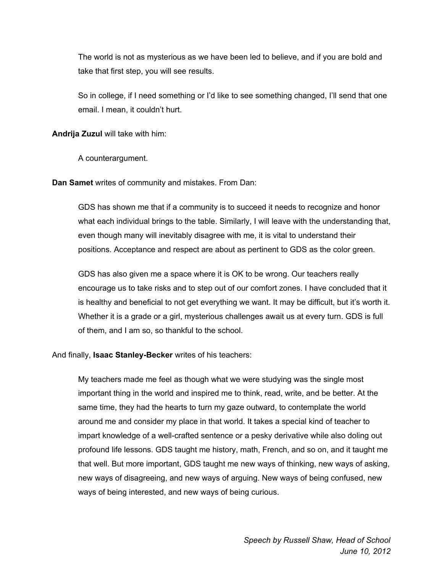The world is not as mysterious as we have been led to believe, and if you are bold and take that first step, you will see results.

So in college, if I need something or I'd like to see something changed, I'll send that one email. I mean, it couldn't hurt.

**Andrija Zuzul** will take with him:

A counterargument.

**Dan Samet** writes of community and mistakes. From Dan:

GDS has shown me that if a community is to succeed it needs to recognize and honor what each individual brings to the table. Similarly, I will leave with the understanding that, even though many will inevitably disagree with me, it is vital to understand their positions. Acceptance and respect are about as pertinent to GDS as the color green.

GDS has also given me a space where it is OK to be wrong. Our teachers really encourage us to take risks and to step out of our comfort zones. I have concluded that it is healthy and beneficial to not get everything we want. It may be difficult, but it's worth it. Whether it is a grade or a girl, mysterious challenges await us at every turn. GDS is full of them, and I am so, so thankful to the school.

And finally, **Isaac Stanley-Becker** writes of his teachers:

My teachers made me feel as though what we were studying was the single most important thing in the world and inspired me to think, read, write, and be better. At the same time, they had the hearts to turn my gaze outward, to contemplate the world around me and consider my place in that world. It takes a special kind of teacher to impart knowledge of a well-crafted sentence or a pesky derivative while also doling out profound life lessons. GDS taught me history, math, French, and so on, and it taught me that well. But more important, GDS taught me new ways of thinking, new ways of asking, new ways of disagreeing, and new ways of arguing. New ways of being confused, new ways of being interested, and new ways of being curious.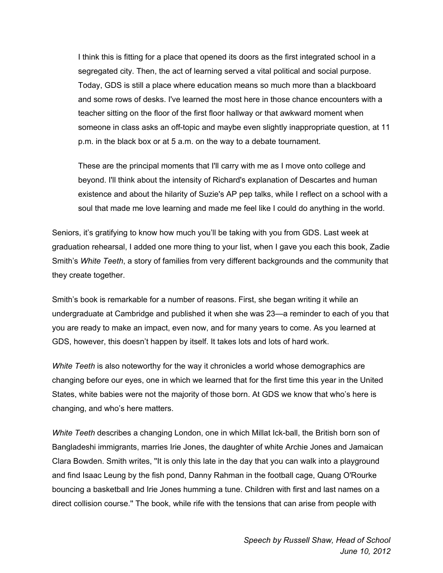I think this is fitting for a place that opened its doors as the first integrated school in a segregated city. Then, the act of learning served a vital political and social purpose. Today, GDS is still a place where education means so much more than a blackboard and some rows of desks. I've learned the most here in those chance encounters with a teacher sitting on the floor of the first floor hallway or that awkward moment when someone in class asks an off-topic and maybe even slightly inappropriate question, at 11 p.m. in the black box or at 5 a.m. on the way to a debate tournament.

These are the principal moments that I'll carry with me as I move onto college and beyond. I'll think about the intensity of Richard's explanation of Descartes and human existence and about the hilarity of Suzie's AP pep talks, while I reflect on a school with a soul that made me love learning and made me feel like I could do anything in the world.

Seniors, it's gratifying to know how much you'll be taking with you from GDS. Last week at graduation rehearsal, I added one more thing to your list, when I gave you each this book, Zadie Smith's *White Teeth*, a story of families from very different backgrounds and the community that they create together.

Smith's book is remarkable for a number of reasons. First, she began writing it while an undergraduate at Cambridge and published it when she was 23—a reminder to each of you that you are ready to make an impact, even now, and for many years to come. As you learned at GDS, however, this doesn't happen by itself. It takes lots and lots of hard work.

*White Teeth* is also noteworthy for the way it chronicles a world whose demographics are changing before our eyes, one in which we learned that for the first time this year in the United States, white babies were not the majority of those born. At GDS we know that who's here is changing, and who's here matters.

*White Teeth* describes a changing London, one in which Millat Ick-ball, the British born son of Bangladeshi immigrants, marries Irie Jones, the daughter of white Archie Jones and Jamaican Clara Bowden. Smith writes, ''It is only this late in the day that you can walk into a playground and find Isaac Leung by the fish pond, Danny Rahman in the football cage, Quang O'Rourke bouncing a basketball and Irie Jones humming a tune. Children with first and last names on a direct collision course.'' The book, while rife with the tensions that can arise from people with